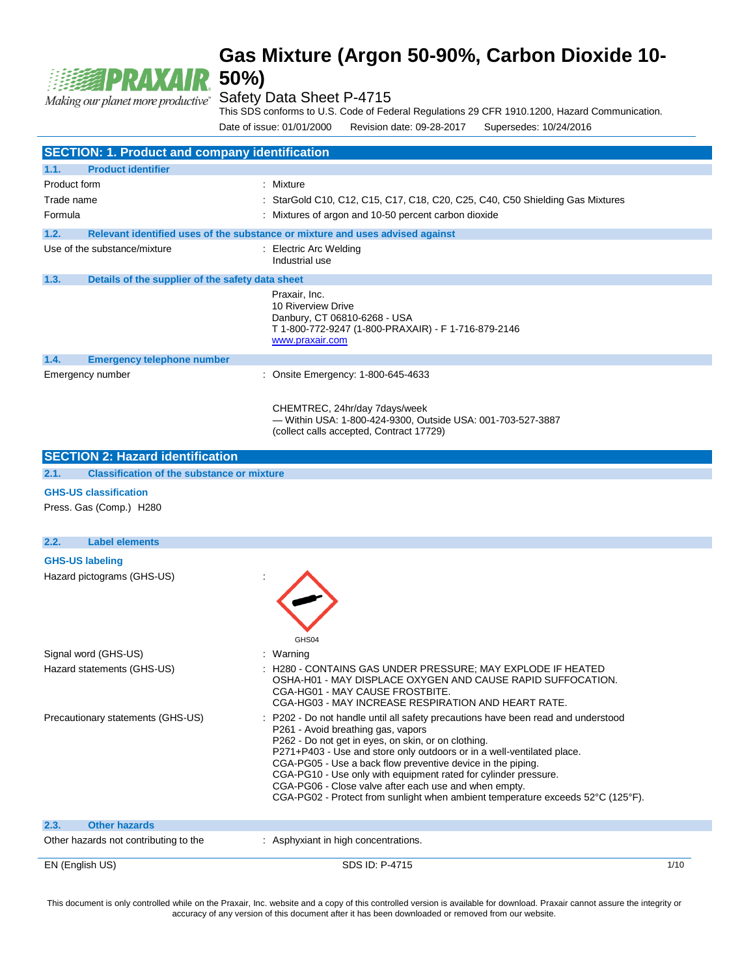# **PRAXAIR**

# Making our planet more productive<sup>\*</sup> Safety Data Sheet P-4715

This SDS conforms to U.S. Code of Federal Regulations 29 CFR 1910.1200, Hazard Communication.

Date of issue: 01/01/2000 Revision date: 09-28-2017 Supersedes: 10/24/2016

| <b>SECTION: 1. Product and company identification</b>     |                                                                                                                                                                                                                                                                                                                                                                                                                                                                                                                                      |      |  |
|-----------------------------------------------------------|--------------------------------------------------------------------------------------------------------------------------------------------------------------------------------------------------------------------------------------------------------------------------------------------------------------------------------------------------------------------------------------------------------------------------------------------------------------------------------------------------------------------------------------|------|--|
| 1.1.<br><b>Product identifier</b>                         |                                                                                                                                                                                                                                                                                                                                                                                                                                                                                                                                      |      |  |
| Product form                                              | : Mixture                                                                                                                                                                                                                                                                                                                                                                                                                                                                                                                            |      |  |
| Trade name                                                | : StarGold C10, C12, C15, C17, C18, C20, C25, C40, C50 Shielding Gas Mixtures                                                                                                                                                                                                                                                                                                                                                                                                                                                        |      |  |
| Formula                                                   | : Mixtures of argon and 10-50 percent carbon dioxide                                                                                                                                                                                                                                                                                                                                                                                                                                                                                 |      |  |
| 1.2.                                                      | Relevant identified uses of the substance or mixture and uses advised against                                                                                                                                                                                                                                                                                                                                                                                                                                                        |      |  |
| Use of the substance/mixture                              | : Electric Arc Welding<br>Industrial use                                                                                                                                                                                                                                                                                                                                                                                                                                                                                             |      |  |
| 1.3.<br>Details of the supplier of the safety data sheet  |                                                                                                                                                                                                                                                                                                                                                                                                                                                                                                                                      |      |  |
|                                                           | Praxair. Inc.<br>10 Riverview Drive<br>Danbury, CT 06810-6268 - USA<br>T 1-800-772-9247 (1-800-PRAXAIR) - F 1-716-879-2146<br>www.praxair.com                                                                                                                                                                                                                                                                                                                                                                                        |      |  |
| 1.4.<br><b>Emergency telephone number</b>                 |                                                                                                                                                                                                                                                                                                                                                                                                                                                                                                                                      |      |  |
| Emergency number                                          | : Onsite Emergency: 1-800-645-4633                                                                                                                                                                                                                                                                                                                                                                                                                                                                                                   |      |  |
|                                                           | CHEMTREC, 24hr/day 7days/week<br>- Within USA: 1-800-424-9300, Outside USA: 001-703-527-3887<br>(collect calls accepted, Contract 17729)                                                                                                                                                                                                                                                                                                                                                                                             |      |  |
| <b>SECTION 2: Hazard identification</b>                   |                                                                                                                                                                                                                                                                                                                                                                                                                                                                                                                                      |      |  |
| 2.1.<br><b>Classification of the substance or mixture</b> |                                                                                                                                                                                                                                                                                                                                                                                                                                                                                                                                      |      |  |
| <b>GHS-US classification</b>                              |                                                                                                                                                                                                                                                                                                                                                                                                                                                                                                                                      |      |  |
| Press. Gas (Comp.) H280                                   |                                                                                                                                                                                                                                                                                                                                                                                                                                                                                                                                      |      |  |
| 2.2.<br><b>Label elements</b>                             |                                                                                                                                                                                                                                                                                                                                                                                                                                                                                                                                      |      |  |
| <b>GHS-US labeling</b>                                    |                                                                                                                                                                                                                                                                                                                                                                                                                                                                                                                                      |      |  |
| Hazard pictograms (GHS-US)                                |                                                                                                                                                                                                                                                                                                                                                                                                                                                                                                                                      |      |  |
| Signal word (GHS-US)                                      | GHS04<br>: Warning                                                                                                                                                                                                                                                                                                                                                                                                                                                                                                                   |      |  |
| Hazard statements (GHS-US)                                | : H280 - CONTAINS GAS UNDER PRESSURE; MAY EXPLODE IF HEATED<br>OSHA-H01 - MAY DISPLACE OXYGEN AND CAUSE RAPID SUFFOCATION.<br>CGA-HG01 - MAY CAUSE FROSTBITE.<br>CGA-HG03 - MAY INCREASE RESPIRATION AND HEART RATE.                                                                                                                                                                                                                                                                                                                 |      |  |
| Precautionary statements (GHS-US)                         | P202 - Do not handle until all safety precautions have been read and understood<br>P261 - Avoid breathing gas, vapors<br>P262 - Do not get in eyes, on skin, or on clothing.<br>P271+P403 - Use and store only outdoors or in a well-ventilated place.<br>CGA-PG05 - Use a back flow preventive device in the piping.<br>CGA-PG10 - Use only with equipment rated for cylinder pressure.<br>CGA-PG06 - Close valve after each use and when empty.<br>CGA-PG02 - Protect from sunlight when ambient temperature exceeds 52°C (125°F). |      |  |
| 2.3.<br><b>Other hazards</b>                              |                                                                                                                                                                                                                                                                                                                                                                                                                                                                                                                                      |      |  |
| Other hazards not contributing to the                     | : Asphyxiant in high concentrations.                                                                                                                                                                                                                                                                                                                                                                                                                                                                                                 |      |  |
| EN (English US)                                           | SDS ID: P-4715                                                                                                                                                                                                                                                                                                                                                                                                                                                                                                                       | 1/10 |  |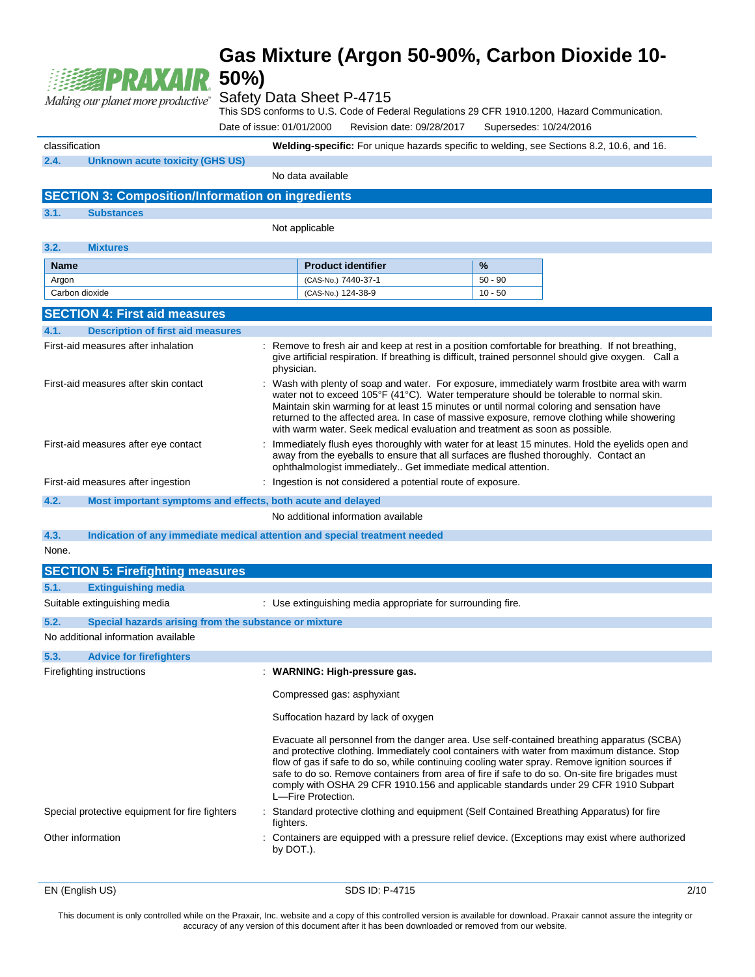

#### Safety Data Sheet P-4715

This SDS conforms to U.S. Code of Federal Regulations 29 CFR 1910.1200, Hazard Communication.

Date of issue: 01/01/2000 Revision date: 09/28/2017 Supersedes: 10/24/2016

classification **Welding-specific:** For unique hazards specific to welding, see Sections 8.2, 10.6, and 16. **2.4. Unknown acute toxicity (GHS US)**

No data available **SECTION 3: Composition/Information on ingredients 3.1. Substances** Not applicable **3.2. Mixtures Name Product identifier 12.1 %** Argon (CAS-No.) 7440-37-1 50 - 90 Carbon dioxide (CAS-No.) 124-38-9 10 - 50 **SECTION 4: First aid measures 4.1. Description of first aid measures** First-aid measures after inhalation : Remove to fresh air and keep at rest in a position comfortable for breathing. If not breathing, give artificial respiration. If breathing is difficult, trained personnel should give oxygen. Call a physician. First-aid measures after skin contact : Wash with plenty of soap and water. For exposure, immediately warm frostbite area with warm water not to exceed 105°F (41°C). Water temperature should be tolerable to normal skin. Maintain skin warming for at least 15 minutes or until normal coloring and sensation have returned to the affected area. In case of massive exposure, remove clothing while showering with warm water. Seek medical evaluation and treatment as soon as possible. First-aid measures after eye contact : Immediately flush eyes thoroughly with water for at least 15 minutes. Hold the eyelids open and away from the eyeballs to ensure that all surfaces are flushed thoroughly. Contact an ophthalmologist immediately.. Get immediate medical attention. First-aid measures after ingestion : Ingestion is not considered a potential route of exposure. **4.2. Most important symptoms and effects, both acute and delayed** No additional information available **4.3. Indication of any immediate medical attention and special treatment needed** None. **SECTION 5: Firefighting measures 5.1. Extinguishing media** Suitable extinguishing media : Use extinguishing media appropriate for surrounding fire. **5.2. Special hazards arising from the substance or mixture** No additional information available **5.3. Advice for firefighters** Firefighting instructions : **WARNING: High-pressure gas.**  Compressed gas: asphyxiant Suffocation hazard by lack of oxygen Evacuate all personnel from the danger area. Use self-contained breathing apparatus (SCBA) and protective clothing. Immediately cool containers with water from maximum distance. Stop flow of gas if safe to do so, while continuing cooling water spray. Remove ignition sources if safe to do so. Remove containers from area of fire if safe to do so. On-site fire brigades must comply with OSHA 29 CFR 1910.156 and applicable standards under 29 CFR 1910 Subpart L—Fire Protection. Special protective equipment for fire fighters : Standard protective clothing and equipment (Self Contained Breathing Apparatus) for fire fighters. Other information : Containers are equipped with a pressure relief device. (Exceptions may exist where authorized by DOT.).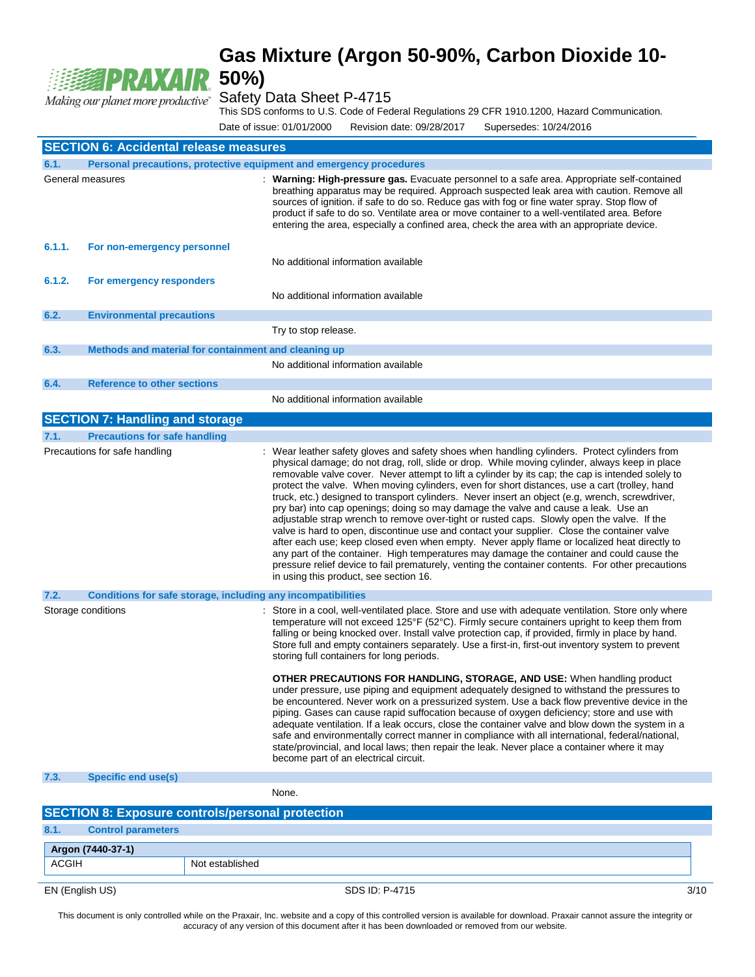

Safety Data Sheet P-4715

This SDS conforms to U.S. Code of Federal Regulations 29 CFR 1910.1200, Hazard Communication.

Date of issue: 01/01/2000 Revision date: 09/28/2017 Supersedes: 10/24/2016

| <b>SECTION 6: Accidental release measures</b> |                                                                     |                                                                                                                                                                                                                                                                                                                                                                                                                                                                                                                                                                                                                                                                                                                                                                                                                                                                                                                                                                                                                                                                                                                                         |  |  |  |
|-----------------------------------------------|---------------------------------------------------------------------|-----------------------------------------------------------------------------------------------------------------------------------------------------------------------------------------------------------------------------------------------------------------------------------------------------------------------------------------------------------------------------------------------------------------------------------------------------------------------------------------------------------------------------------------------------------------------------------------------------------------------------------------------------------------------------------------------------------------------------------------------------------------------------------------------------------------------------------------------------------------------------------------------------------------------------------------------------------------------------------------------------------------------------------------------------------------------------------------------------------------------------------------|--|--|--|
| 6.1.                                          | Personal precautions, protective equipment and emergency procedures |                                                                                                                                                                                                                                                                                                                                                                                                                                                                                                                                                                                                                                                                                                                                                                                                                                                                                                                                                                                                                                                                                                                                         |  |  |  |
|                                               | General measures                                                    | : Warning: High-pressure gas. Evacuate personnel to a safe area. Appropriate self-contained<br>breathing apparatus may be required. Approach suspected leak area with caution. Remove all<br>sources of ignition. if safe to do so. Reduce gas with fog or fine water spray. Stop flow of<br>product if safe to do so. Ventilate area or move container to a well-ventilated area. Before<br>entering the area, especially a confined area, check the area with an appropriate device.                                                                                                                                                                                                                                                                                                                                                                                                                                                                                                                                                                                                                                                  |  |  |  |
| 6.1.1.                                        | For non-emergency personnel                                         |                                                                                                                                                                                                                                                                                                                                                                                                                                                                                                                                                                                                                                                                                                                                                                                                                                                                                                                                                                                                                                                                                                                                         |  |  |  |
|                                               |                                                                     | No additional information available                                                                                                                                                                                                                                                                                                                                                                                                                                                                                                                                                                                                                                                                                                                                                                                                                                                                                                                                                                                                                                                                                                     |  |  |  |
| 6.1.2.                                        | For emergency responders                                            |                                                                                                                                                                                                                                                                                                                                                                                                                                                                                                                                                                                                                                                                                                                                                                                                                                                                                                                                                                                                                                                                                                                                         |  |  |  |
|                                               |                                                                     | No additional information available                                                                                                                                                                                                                                                                                                                                                                                                                                                                                                                                                                                                                                                                                                                                                                                                                                                                                                                                                                                                                                                                                                     |  |  |  |
| 6.2.                                          | <b>Environmental precautions</b>                                    |                                                                                                                                                                                                                                                                                                                                                                                                                                                                                                                                                                                                                                                                                                                                                                                                                                                                                                                                                                                                                                                                                                                                         |  |  |  |
|                                               |                                                                     | Try to stop release.                                                                                                                                                                                                                                                                                                                                                                                                                                                                                                                                                                                                                                                                                                                                                                                                                                                                                                                                                                                                                                                                                                                    |  |  |  |
| 6.3.                                          | Methods and material for containment and cleaning up                |                                                                                                                                                                                                                                                                                                                                                                                                                                                                                                                                                                                                                                                                                                                                                                                                                                                                                                                                                                                                                                                                                                                                         |  |  |  |
|                                               |                                                                     | No additional information available                                                                                                                                                                                                                                                                                                                                                                                                                                                                                                                                                                                                                                                                                                                                                                                                                                                                                                                                                                                                                                                                                                     |  |  |  |
| 6.4.                                          | <b>Reference to other sections</b>                                  |                                                                                                                                                                                                                                                                                                                                                                                                                                                                                                                                                                                                                                                                                                                                                                                                                                                                                                                                                                                                                                                                                                                                         |  |  |  |
|                                               |                                                                     | No additional information available                                                                                                                                                                                                                                                                                                                                                                                                                                                                                                                                                                                                                                                                                                                                                                                                                                                                                                                                                                                                                                                                                                     |  |  |  |
|                                               | <b>SECTION 7: Handling and storage</b>                              |                                                                                                                                                                                                                                                                                                                                                                                                                                                                                                                                                                                                                                                                                                                                                                                                                                                                                                                                                                                                                                                                                                                                         |  |  |  |
| 7.1.                                          | <b>Precautions for safe handling</b>                                |                                                                                                                                                                                                                                                                                                                                                                                                                                                                                                                                                                                                                                                                                                                                                                                                                                                                                                                                                                                                                                                                                                                                         |  |  |  |
|                                               | Precautions for safe handling                                       | : Wear leather safety gloves and safety shoes when handling cylinders. Protect cylinders from<br>physical damage; do not drag, roll, slide or drop. While moving cylinder, always keep in place<br>removable valve cover. Never attempt to lift a cylinder by its cap; the cap is intended solely to<br>protect the valve. When moving cylinders, even for short distances, use a cart (trolley, hand<br>truck, etc.) designed to transport cylinders. Never insert an object (e.g, wrench, screwdriver,<br>pry bar) into cap openings; doing so may damage the valve and cause a leak. Use an<br>adjustable strap wrench to remove over-tight or rusted caps. Slowly open the valve. If the<br>valve is hard to open, discontinue use and contact your supplier. Close the container valve<br>after each use; keep closed even when empty. Never apply flame or localized heat directly to<br>any part of the container. High temperatures may damage the container and could cause the<br>pressure relief device to fail prematurely, venting the container contents. For other precautions<br>in using this product, see section 16. |  |  |  |
| 7.2.                                          | Conditions for safe storage, including any incompatibilities        |                                                                                                                                                                                                                                                                                                                                                                                                                                                                                                                                                                                                                                                                                                                                                                                                                                                                                                                                                                                                                                                                                                                                         |  |  |  |
|                                               | Storage conditions                                                  | : Store in a cool, well-ventilated place. Store and use with adequate ventilation. Store only where<br>temperature will not exceed 125°F (52°C). Firmly secure containers upright to keep them from<br>falling or being knocked over. Install valve protection cap, if provided, firmly in place by hand.<br>Store full and empty containers separately. Use a first-in, first-out inventory system to prevent<br>storing full containers for long periods.                                                                                                                                                                                                                                                                                                                                                                                                                                                                                                                                                                                                                                                                             |  |  |  |
|                                               |                                                                     | <b>OTHER PRECAUTIONS FOR HANDLING, STORAGE, AND USE:</b> When handling product<br>under pressure, use piping and equipment adequately designed to withstand the pressures to<br>be encountered. Never work on a pressurized system. Use a back flow preventive device in the<br>piping. Gases can cause rapid suffocation because of oxygen deficiency; store and use with<br>adequate ventilation. If a leak occurs, close the container valve and blow down the system in a<br>safe and environmentally correct manner in compliance with all international, federal/national,<br>state/provincial, and local laws; then repair the leak. Never place a container where it may<br>become part of an electrical circuit.                                                                                                                                                                                                                                                                                                                                                                                                               |  |  |  |
| 7.3.                                          | <b>Specific end use(s)</b>                                          |                                                                                                                                                                                                                                                                                                                                                                                                                                                                                                                                                                                                                                                                                                                                                                                                                                                                                                                                                                                                                                                                                                                                         |  |  |  |
|                                               |                                                                     | None.                                                                                                                                                                                                                                                                                                                                                                                                                                                                                                                                                                                                                                                                                                                                                                                                                                                                                                                                                                                                                                                                                                                                   |  |  |  |
|                                               | <b>SECTION 8: Exposure controls/personal protection</b>             |                                                                                                                                                                                                                                                                                                                                                                                                                                                                                                                                                                                                                                                                                                                                                                                                                                                                                                                                                                                                                                                                                                                                         |  |  |  |

**8.1. Control parameters Argon (7440-37-1)** ACGIH Not established

EN (English US) 3/10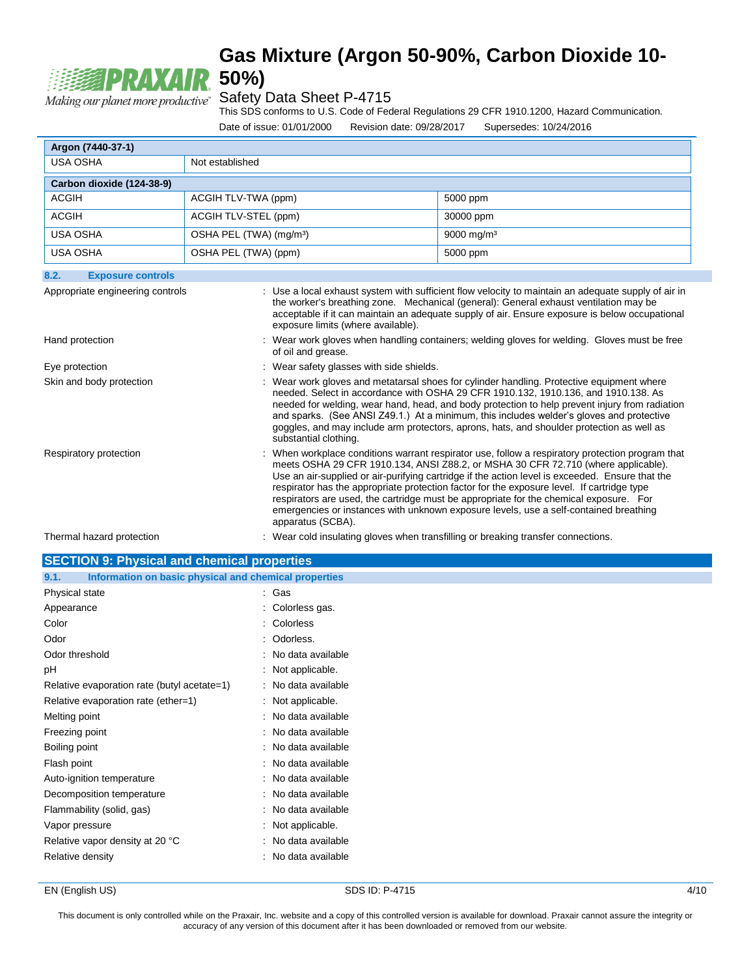

### Safety Data Sheet P-4715

This SDS conforms to U.S. Code of Federal Regulations 29 CFR 1910.1200, Hazard Communication.

Date of issue: 01/01/2000 Revision date: 09/28/2017 Supersedes: 10/24/2016

| Argon (7440-37-1)                                                                                                                                                                                                                                                                                                                                                        |                                                                                                                    |                                          |                                                                                                                                                                                                                                                                                                                                                                                                                                                                                                                                                                           |  |
|--------------------------------------------------------------------------------------------------------------------------------------------------------------------------------------------------------------------------------------------------------------------------------------------------------------------------------------------------------------------------|--------------------------------------------------------------------------------------------------------------------|------------------------------------------|---------------------------------------------------------------------------------------------------------------------------------------------------------------------------------------------------------------------------------------------------------------------------------------------------------------------------------------------------------------------------------------------------------------------------------------------------------------------------------------------------------------------------------------------------------------------------|--|
| <b>USA OSHA</b>                                                                                                                                                                                                                                                                                                                                                          | Not established                                                                                                    |                                          |                                                                                                                                                                                                                                                                                                                                                                                                                                                                                                                                                                           |  |
| Carbon dioxide (124-38-9)                                                                                                                                                                                                                                                                                                                                                |                                                                                                                    |                                          |                                                                                                                                                                                                                                                                                                                                                                                                                                                                                                                                                                           |  |
| <b>ACGIH</b>                                                                                                                                                                                                                                                                                                                                                             | ACGIH TLV-TWA (ppm)                                                                                                |                                          | 5000 ppm                                                                                                                                                                                                                                                                                                                                                                                                                                                                                                                                                                  |  |
| <b>ACGIH</b>                                                                                                                                                                                                                                                                                                                                                             | ACGIH TLV-STEL (ppm)                                                                                               |                                          | 30000 ppm                                                                                                                                                                                                                                                                                                                                                                                                                                                                                                                                                                 |  |
| <b>USA OSHA</b>                                                                                                                                                                                                                                                                                                                                                          | OSHA PEL (TWA) (mg/m <sup>3</sup> )                                                                                |                                          | 9000 mg/m <sup>3</sup>                                                                                                                                                                                                                                                                                                                                                                                                                                                                                                                                                    |  |
| <b>USA OSHA</b>                                                                                                                                                                                                                                                                                                                                                          | OSHA PEL (TWA) (ppm)                                                                                               |                                          | 5000 ppm                                                                                                                                                                                                                                                                                                                                                                                                                                                                                                                                                                  |  |
| 8.2.<br><b>Exposure controls</b>                                                                                                                                                                                                                                                                                                                                         |                                                                                                                    |                                          |                                                                                                                                                                                                                                                                                                                                                                                                                                                                                                                                                                           |  |
| : Use a local exhaust system with sufficient flow velocity to maintain an adequate supply of air in<br>Appropriate engineering controls<br>the worker's breathing zone. Mechanical (general): General exhaust ventilation may be<br>acceptable if it can maintain an adequate supply of air. Ensure exposure is below occupational<br>exposure limits (where available). |                                                                                                                    |                                          |                                                                                                                                                                                                                                                                                                                                                                                                                                                                                                                                                                           |  |
| Hand protection                                                                                                                                                                                                                                                                                                                                                          | : Wear work gloves when handling containers; welding gloves for welding. Gloves must be free<br>of oil and grease. |                                          |                                                                                                                                                                                                                                                                                                                                                                                                                                                                                                                                                                           |  |
| Eye protection                                                                                                                                                                                                                                                                                                                                                           |                                                                                                                    | : Wear safety glasses with side shields. |                                                                                                                                                                                                                                                                                                                                                                                                                                                                                                                                                                           |  |
| Skin and body protection                                                                                                                                                                                                                                                                                                                                                 |                                                                                                                    | substantial clothing.                    | : Wear work gloves and metatarsal shoes for cylinder handling. Protective equipment where<br>needed. Select in accordance with OSHA 29 CFR 1910.132, 1910.136, and 1910.138. As<br>needed for welding, wear hand, head, and body protection to help prevent injury from radiation<br>and sparks. (See ANSI Z49.1.) At a minimum, this includes welder's gloves and protective<br>goggles, and may include arm protectors, aprons, hats, and shoulder protection as well as                                                                                                |  |
| Respiratory protection                                                                                                                                                                                                                                                                                                                                                   |                                                                                                                    | apparatus (SCBA).                        | : When workplace conditions warrant respirator use, follow a respiratory protection program that<br>meets OSHA 29 CFR 1910.134, ANSI Z88.2, or MSHA 30 CFR 72.710 (where applicable).<br>Use an air-supplied or air-purifying cartridge if the action level is exceeded. Ensure that the<br>respirator has the appropriate protection factor for the exposure level. If cartridge type<br>respirators are used, the cartridge must be appropriate for the chemical exposure. For<br>emergencies or instances with unknown exposure levels, use a self-contained breathing |  |
| Thermal hazard protection                                                                                                                                                                                                                                                                                                                                                |                                                                                                                    |                                          | : Wear cold insulating gloves when transfilling or breaking transfer connections.                                                                                                                                                                                                                                                                                                                                                                                                                                                                                         |  |

| <b>SECTION 9: Physical and chemical properties</b>            |  |  |  |  |
|---------------------------------------------------------------|--|--|--|--|
| Information on basic physical and chemical properties<br>9.1. |  |  |  |  |
| : Gas                                                         |  |  |  |  |
| : Colorless gas.                                              |  |  |  |  |
| Colorless                                                     |  |  |  |  |
| : Odorless.                                                   |  |  |  |  |
| : No data available                                           |  |  |  |  |
| Not applicable.                                               |  |  |  |  |
| : No data available                                           |  |  |  |  |
| : Not applicable.                                             |  |  |  |  |
| : No data available                                           |  |  |  |  |
| : No data available                                           |  |  |  |  |
| : No data available                                           |  |  |  |  |
| : No data available                                           |  |  |  |  |
| No data available                                             |  |  |  |  |
| : No data available                                           |  |  |  |  |
| : No data available                                           |  |  |  |  |
| : Not applicable.                                             |  |  |  |  |
| : No data available                                           |  |  |  |  |
| No data available                                             |  |  |  |  |
|                                                               |  |  |  |  |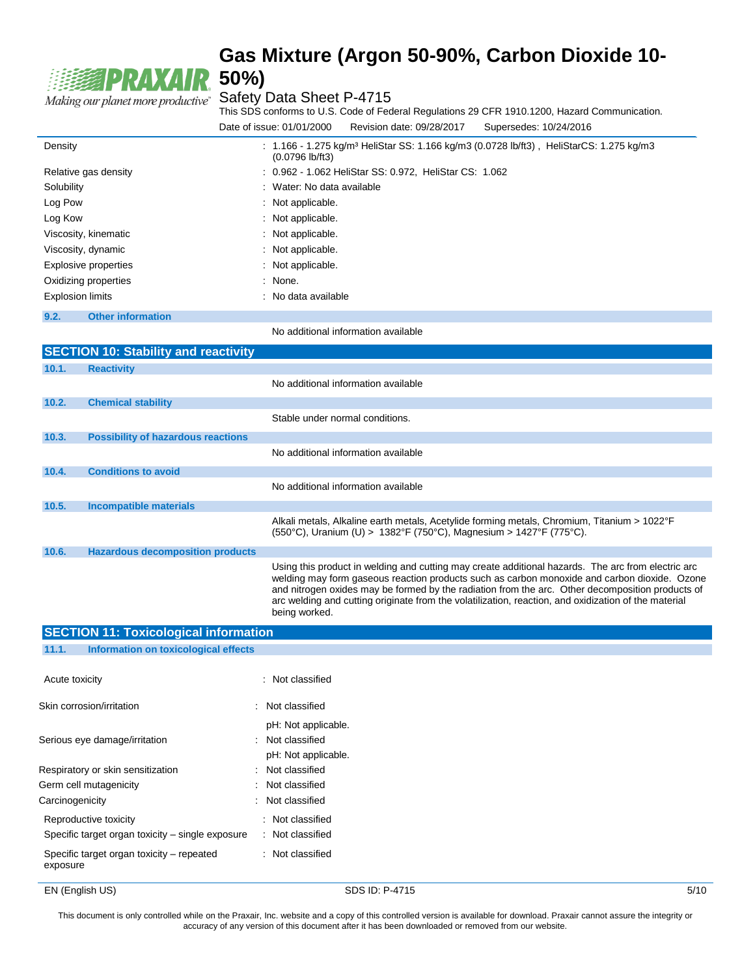

This SDS conforms to U.S. Code of Federal Regulations 29 CFR 1910.1200, Hazard Communication. Date of issue: 01/01/2000 Revision date: 09/28/2017 Supersedes: 10/24/2016

|            |                                             | $11011011$ agro. $0012012011$                                                                                                                                                                                                                                                                                                                                                                                                   |
|------------|---------------------------------------------|---------------------------------------------------------------------------------------------------------------------------------------------------------------------------------------------------------------------------------------------------------------------------------------------------------------------------------------------------------------------------------------------------------------------------------|
| Density    |                                             | : $1.166$ - 1.275 kg/m <sup>3</sup> HeliStar SS: 1.166 kg/m3 (0.0728 lb/ft3), HeliStarCS: 1.275 kg/m3<br>$(0.0796$ lb/ft3)                                                                                                                                                                                                                                                                                                      |
|            | Relative gas density                        | : 0.962 - 1.062 HeliStar SS: 0.972, HeliStar CS: 1.062                                                                                                                                                                                                                                                                                                                                                                          |
| Solubility |                                             | : Water: No data available                                                                                                                                                                                                                                                                                                                                                                                                      |
| Log Pow    |                                             | : Not applicable.                                                                                                                                                                                                                                                                                                                                                                                                               |
| Log Kow    |                                             | : Not applicable.                                                                                                                                                                                                                                                                                                                                                                                                               |
|            | Viscosity, kinematic                        | : Not applicable.                                                                                                                                                                                                                                                                                                                                                                                                               |
|            | Viscosity, dynamic                          | : Not applicable.                                                                                                                                                                                                                                                                                                                                                                                                               |
|            | Explosive properties                        | : Not applicable.                                                                                                                                                                                                                                                                                                                                                                                                               |
|            | Oxidizing properties                        | : None.                                                                                                                                                                                                                                                                                                                                                                                                                         |
|            | <b>Explosion limits</b>                     | : No data available                                                                                                                                                                                                                                                                                                                                                                                                             |
| 9.2.       | <b>Other information</b>                    |                                                                                                                                                                                                                                                                                                                                                                                                                                 |
|            |                                             | No additional information available                                                                                                                                                                                                                                                                                                                                                                                             |
|            | <b>SECTION 10: Stability and reactivity</b> |                                                                                                                                                                                                                                                                                                                                                                                                                                 |
| 10.1.      | <b>Reactivity</b>                           |                                                                                                                                                                                                                                                                                                                                                                                                                                 |
|            |                                             | No additional information available                                                                                                                                                                                                                                                                                                                                                                                             |
| 10.2.      | <b>Chemical stability</b>                   |                                                                                                                                                                                                                                                                                                                                                                                                                                 |
|            |                                             | Stable under normal conditions.                                                                                                                                                                                                                                                                                                                                                                                                 |
| 10.3.      | <b>Possibility of hazardous reactions</b>   |                                                                                                                                                                                                                                                                                                                                                                                                                                 |
|            |                                             | No additional information available                                                                                                                                                                                                                                                                                                                                                                                             |
| 10.4.      | <b>Conditions to avoid</b>                  |                                                                                                                                                                                                                                                                                                                                                                                                                                 |
|            |                                             | No additional information available                                                                                                                                                                                                                                                                                                                                                                                             |
| 10.5.      | <b>Incompatible materials</b>               |                                                                                                                                                                                                                                                                                                                                                                                                                                 |
|            |                                             | Alkali metals, Alkaline earth metals, Acetylide forming metals, Chromium, Titanium > 1022°F<br>(550°C), Uranium (U) > 1382°F (750°C), Magnesium > 1427°F (775°C).                                                                                                                                                                                                                                                               |
| 10.6.      | <b>Hazardous decomposition products</b>     |                                                                                                                                                                                                                                                                                                                                                                                                                                 |
|            |                                             | Using this product in welding and cutting may create additional hazards. The arc from electric arc<br>welding may form gaseous reaction products such as carbon monoxide and carbon dioxide. Ozone<br>and nitrogen oxides may be formed by the radiation from the arc. Other decomposition products of<br>arc welding and cutting originate from the volatilization, reaction, and oxidization of the material<br>being worked. |

| <b>SECTION 11: Toxicological information</b>          |                     |
|-------------------------------------------------------|---------------------|
| Information on toxicological effects<br>11.1.         |                     |
| Acute toxicity                                        | : Not classified    |
|                                                       |                     |
| Skin corrosion/irritation                             | : Not classified    |
|                                                       | pH: Not applicable. |
| Serious eye damage/irritation                         | : Not classified    |
|                                                       | pH: Not applicable. |
| Respiratory or skin sensitization                     | : Not classified    |
| Germ cell mutagenicity                                | : Not classified    |
| Carcinogenicity                                       | : Not classified    |
| Reproductive toxicity                                 | : Not classified    |
| Specific target organ toxicity – single exposure      | : Not classified    |
| Specific target organ toxicity – repeated<br>exposure | : Not classified    |

EN (English US) 5/10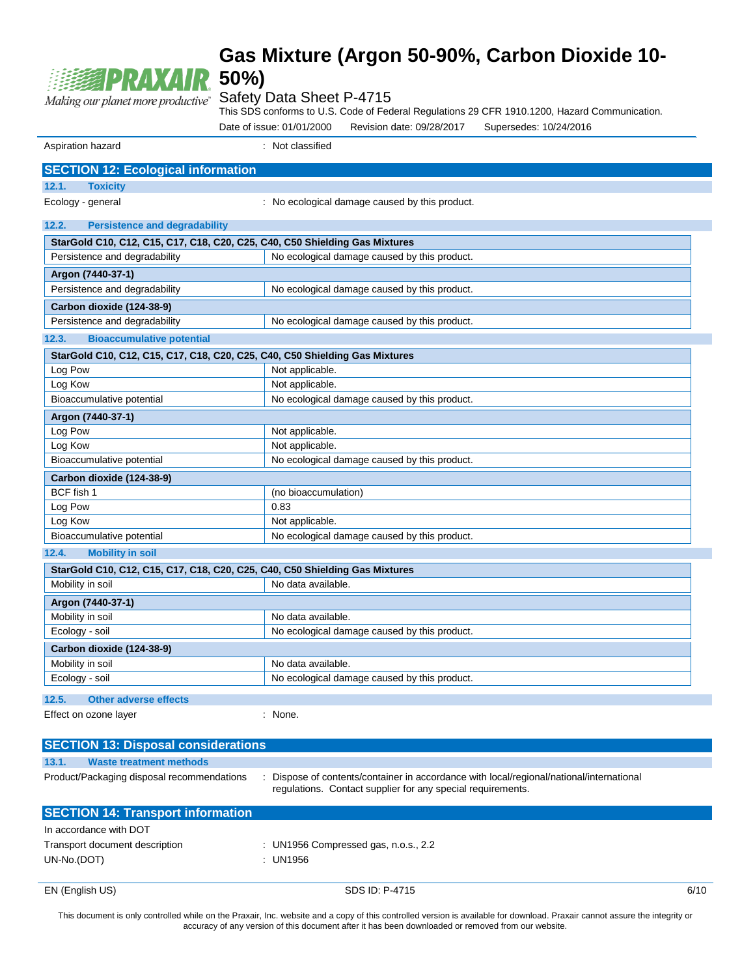

#### Safety Data Sheet P-4715

This SDS conforms to U.S. Code of Federal Regulations 29 CFR 1910.1200, Hazard Communication.

Date of issue: 01/01/2000 Revision date: 09/28/2017 Supersedes: 10/24/2016

Aspiration hazard **in the set of the set of the set of the set of the set of the set of the set of the set of the set of the set of the set of the set of the set of the set of the set of the set of the set of the set of th** 

| <b>SECTION 12: Ecological information</b>     |                                                                             |  |  |
|-----------------------------------------------|-----------------------------------------------------------------------------|--|--|
| 12.1.<br><b>Toxicity</b>                      |                                                                             |  |  |
| Ecology - general                             | : No ecological damage caused by this product.                              |  |  |
|                                               |                                                                             |  |  |
| 12.2.<br><b>Persistence and degradability</b> |                                                                             |  |  |
|                                               | StarGold C10, C12, C15, C17, C18, C20, C25, C40, C50 Shielding Gas Mixtures |  |  |
| Persistence and degradability                 | No ecological damage caused by this product.                                |  |  |
| Argon (7440-37-1)                             |                                                                             |  |  |
| Persistence and degradability                 | No ecological damage caused by this product.                                |  |  |
| Carbon dioxide (124-38-9)                     |                                                                             |  |  |
| Persistence and degradability                 | No ecological damage caused by this product.                                |  |  |
| 12.3.<br><b>Bioaccumulative potential</b>     |                                                                             |  |  |
|                                               | StarGold C10, C12, C15, C17, C18, C20, C25, C40, C50 Shielding Gas Mixtures |  |  |
| Log Pow                                       | Not applicable.                                                             |  |  |
| Log Kow                                       | Not applicable.                                                             |  |  |
| Bioaccumulative potential                     | No ecological damage caused by this product.                                |  |  |
| Argon (7440-37-1)                             |                                                                             |  |  |
| Log Pow                                       | Not applicable.                                                             |  |  |
| Log Kow                                       | Not applicable.                                                             |  |  |
| Bioaccumulative potential                     | No ecological damage caused by this product.                                |  |  |
| Carbon dioxide (124-38-9)                     |                                                                             |  |  |
| BCF fish 1                                    | (no bioaccumulation)                                                        |  |  |
| Log Pow                                       | 0.83                                                                        |  |  |
| Log Kow                                       | Not applicable.                                                             |  |  |
| Bioaccumulative potential                     | No ecological damage caused by this product.                                |  |  |
| 12.4.<br><b>Mobility in soil</b>              |                                                                             |  |  |
|                                               | StarGold C10, C12, C15, C17, C18, C20, C25, C40, C50 Shielding Gas Mixtures |  |  |
| Mobility in soil                              | No data available.                                                          |  |  |
| Argon (7440-37-1)                             |                                                                             |  |  |
| Mobility in soil                              | No data available.                                                          |  |  |
| Ecology - soil                                | No ecological damage caused by this product.                                |  |  |
| Carbon dioxide (124-38-9)                     |                                                                             |  |  |
| Mobility in soil                              | No data available.                                                          |  |  |
| Ecology - soil                                | No ecological damage caused by this product.                                |  |  |
| <b>Other adverse effects</b><br>12.5.         |                                                                             |  |  |
| Effect on ozone layer                         | : None.                                                                     |  |  |
|                                               |                                                                             |  |  |
| <b>SECTION 13: Disposal considerations</b>    |                                                                             |  |  |

| 13.1.       | <b>Waste treatment methods</b>             |                                                                                                                                                         |      |
|-------------|--------------------------------------------|---------------------------------------------------------------------------------------------------------------------------------------------------------|------|
|             | Product/Packaging disposal recommendations | : Dispose of contents/container in accordance with local/regional/national/international<br>regulations. Contact supplier for any special requirements. |      |
|             | <b>SECTION 14: Transport information</b>   |                                                                                                                                                         |      |
|             | In accordance with DOT                     |                                                                                                                                                         |      |
|             | Transport document description             | : UN1956 Compressed gas, n.o.s., $2.2$                                                                                                                  |      |
| UN-No.(DOT) |                                            | : UN1956                                                                                                                                                |      |
|             | EN (English US)                            | SDS ID: P-4715                                                                                                                                          | 6/10 |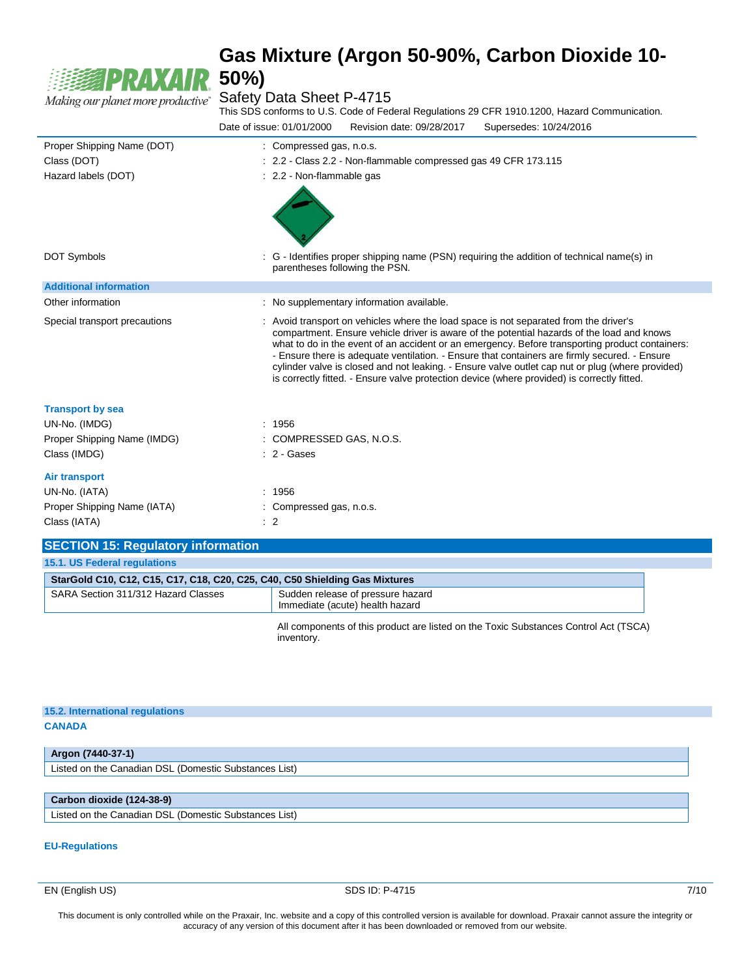

#### Safety Data Sheet P-4715

This SDS conforms to U.S. Code of Federal Regulations 29 CFR 1910.1200, Hazard Communication. Date of issue: 01/01/2000 Revision date: 09/28/2017 Supersedes: 10/24/2016

| Proper Shipping Name (DOT)    | : Compressed gas, n.o.s.                                                                                                                                                                                                                                                                                                                                                                                                                                                                                                                                                                   |
|-------------------------------|--------------------------------------------------------------------------------------------------------------------------------------------------------------------------------------------------------------------------------------------------------------------------------------------------------------------------------------------------------------------------------------------------------------------------------------------------------------------------------------------------------------------------------------------------------------------------------------------|
| Class (DOT)                   | : 2.2 - Class 2.2 - Non-flammable compressed gas 49 CFR 173.115                                                                                                                                                                                                                                                                                                                                                                                                                                                                                                                            |
| Hazard labels (DOT)           | : 2.2 - Non-flammable gas                                                                                                                                                                                                                                                                                                                                                                                                                                                                                                                                                                  |
| <b>DOT Symbols</b>            | : G - Identifies proper shipping name (PSN) requiring the addition of technical name(s) in<br>parentheses following the PSN.                                                                                                                                                                                                                                                                                                                                                                                                                                                               |
| <b>Additional information</b> |                                                                                                                                                                                                                                                                                                                                                                                                                                                                                                                                                                                            |
| Other information             | : No supplementary information available.                                                                                                                                                                                                                                                                                                                                                                                                                                                                                                                                                  |
| Special transport precautions | : Avoid transport on vehicles where the load space is not separated from the driver's<br>compartment. Ensure vehicle driver is aware of the potential hazards of the load and knows<br>what to do in the event of an accident or an emergency. Before transporting product containers:<br>- Ensure there is adequate ventilation. - Ensure that containers are firmly secured. - Ensure<br>cylinder valve is closed and not leaking. - Ensure valve outlet cap nut or plug (where provided)<br>is correctly fitted. - Ensure valve protection device (where provided) is correctly fitted. |
| <b>Transport by sea</b>       |                                                                                                                                                                                                                                                                                                                                                                                                                                                                                                                                                                                            |
| UN-No. (IMDG)                 | : 1956                                                                                                                                                                                                                                                                                                                                                                                                                                                                                                                                                                                     |
| Proper Shipping Name (IMDG)   | : COMPRESSED GAS, N.O.S.                                                                                                                                                                                                                                                                                                                                                                                                                                                                                                                                                                   |
| Class (IMDG)                  | $: 2 - \text{Gases}$                                                                                                                                                                                                                                                                                                                                                                                                                                                                                                                                                                       |
| <b>Air transport</b>          |                                                                                                                                                                                                                                                                                                                                                                                                                                                                                                                                                                                            |
| UN-No. (IATA)                 | : 1956                                                                                                                                                                                                                                                                                                                                                                                                                                                                                                                                                                                     |
| Proper Shipping Name (IATA)   | : Compressed gas, n.o.s.                                                                                                                                                                                                                                                                                                                                                                                                                                                                                                                                                                   |
| Class (IATA)                  | $\therefore$ 2                                                                                                                                                                                                                                                                                                                                                                                                                                                                                                                                                                             |

#### **SECTION 15: Regulatory information 15.1. US Federal regulations StarGold C10, C12, C15, C17, C18, C20, C25, C40, C50 Shielding Gas Mixtures** SARA Section 311/312 Hazard Classes Sudden release of pressure hazard Immediate (acute) health hazard

All components of this product are listed on the Toxic Substances Control Act (TSCA) inventory.

| 15.2. International regulations |  |
|---------------------------------|--|
| <b>CANADA</b>                   |  |
|                                 |  |

#### **Argon (7440-37-1)** Listed on the Canadian DSL (Domestic Substances List)

#### **Carbon dioxide (124-38-9)**

Listed on the Canadian DSL (Domestic Substances List)

#### **EU-Regulations**

EN (English US) SDS ID: P-4715 7/10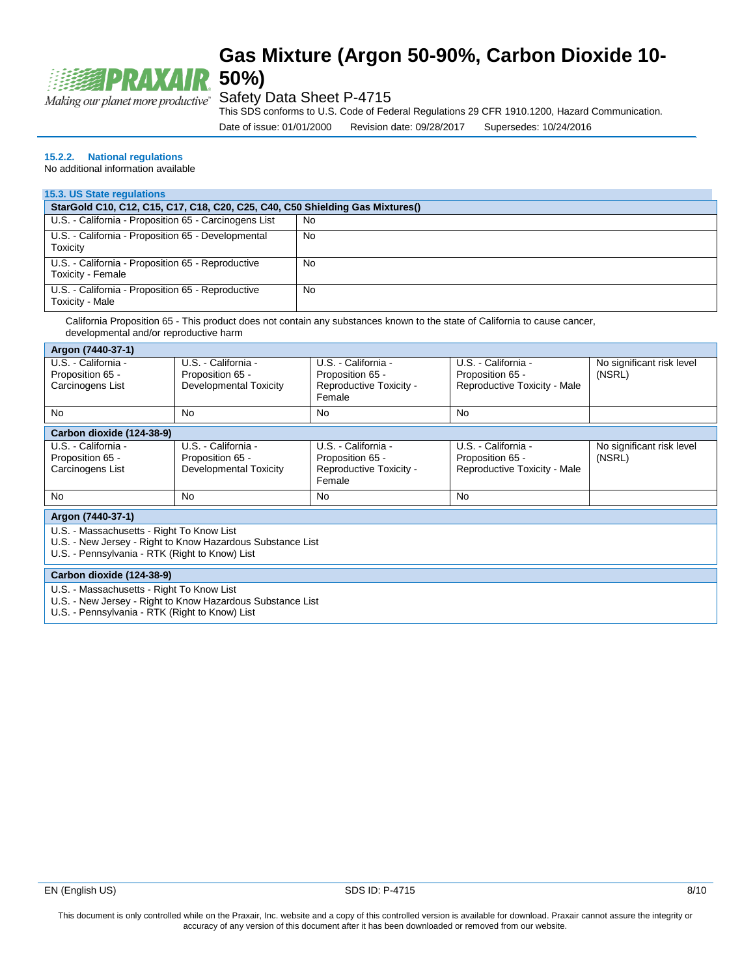

#### Safety Data Sheet P-4715

This SDS conforms to U.S. Code of Federal Regulations 29 CFR 1910.1200, Hazard Communication.

Date of issue: 01/01/2000 Revision date: 09/28/2017 Supersedes: 10/24/2016

#### **15.2.2. National regulations**

No additional information available

#### **15.3. US State regulations**

| StarGold C10, C12, C15, C17, C18, C20, C25, C40, C50 Shielding Gas Mixtures() |     |  |  |
|-------------------------------------------------------------------------------|-----|--|--|
| U.S. - California - Proposition 65 - Carcinogens List                         | No  |  |  |
| U.S. - California - Proposition 65 - Developmental<br>Toxicity                | No. |  |  |
| U.S. - California - Proposition 65 - Reproductive<br>Toxicity - Female        | No  |  |  |
| U.S. - California - Proposition 65 - Reproductive<br>Toxicity - Male          | No  |  |  |

California Proposition 65 - This product does not contain any substances known to the state of California to cause cancer, developmental and/or reproductive harm

| Argon (7440-37-1)                                                                                                                                         |                                                                   |                                                                              |                                                                         |                                     |  |
|-----------------------------------------------------------------------------------------------------------------------------------------------------------|-------------------------------------------------------------------|------------------------------------------------------------------------------|-------------------------------------------------------------------------|-------------------------------------|--|
| U.S. - California -<br>Proposition 65 -<br>Carcinogens List                                                                                               | U.S. - California -<br>Proposition 65 -<br>Developmental Toxicity | U.S. - California -<br>Proposition 65 -<br>Reproductive Toxicity -<br>Female | U.S. - California -<br>Proposition 65 -<br>Reproductive Toxicity - Male | No significant risk level<br>(NSRL) |  |
| No                                                                                                                                                        | No                                                                | No                                                                           | No                                                                      |                                     |  |
| Carbon dioxide (124-38-9)                                                                                                                                 |                                                                   |                                                                              |                                                                         |                                     |  |
| U.S. - California -<br>Proposition 65 -<br>Carcinogens List                                                                                               | U.S. - California -<br>Proposition 65 -<br>Developmental Toxicity | U.S. - California -<br>Proposition 65 -<br>Reproductive Toxicity -<br>Female | U.S. - California -<br>Proposition 65 -<br>Reproductive Toxicity - Male | No significant risk level<br>(NSRL) |  |
| <b>No</b>                                                                                                                                                 | No                                                                | N <sub>0</sub>                                                               | No                                                                      |                                     |  |
| Argon (7440-37-1)                                                                                                                                         |                                                                   |                                                                              |                                                                         |                                     |  |
| U.S. - Massachusetts - Right To Know List<br>U.S. - New Jersey - Right to Know Hazardous Substance List<br>U.S. - Pennsylvania - RTK (Right to Know) List |                                                                   |                                                                              |                                                                         |                                     |  |
| Carbon dioxide (124-38-9)                                                                                                                                 |                                                                   |                                                                              |                                                                         |                                     |  |
| U.S. - Massachusetts - Right To Know List<br>U.S. - New Jersey - Right to Know Hazardous Substance List<br>U.S. - Pennsylvania - RTK (Right to Know) List |                                                                   |                                                                              |                                                                         |                                     |  |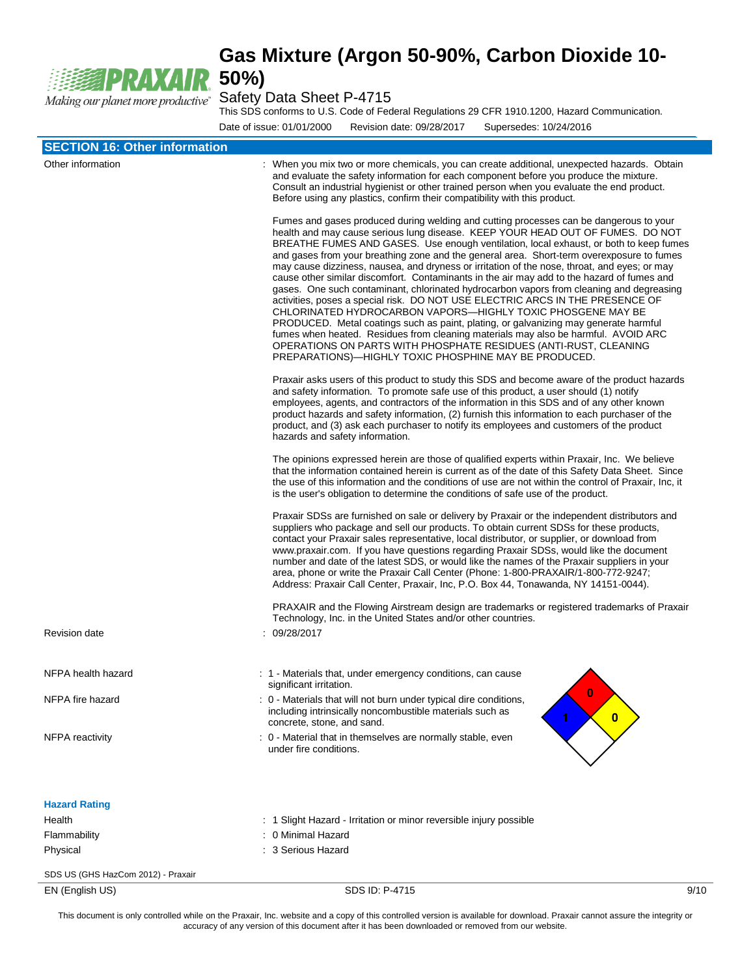

This SDS conforms to U.S. Code of Federal Regulations 29 CFR 1910.1200, Hazard Communication.

Date of issue: 01/01/2000 Revision date: 09/28/2017 Supersedes: 10/24/2016

| <b>SECTION 16: Other information</b>                  |                                                                                                                                                                                                                                                                                                                                                                                                                                                                                                                                                                                                                                                                                                                                                                                                                                                                                                                                                                                                                                                                                                                     |      |
|-------------------------------------------------------|---------------------------------------------------------------------------------------------------------------------------------------------------------------------------------------------------------------------------------------------------------------------------------------------------------------------------------------------------------------------------------------------------------------------------------------------------------------------------------------------------------------------------------------------------------------------------------------------------------------------------------------------------------------------------------------------------------------------------------------------------------------------------------------------------------------------------------------------------------------------------------------------------------------------------------------------------------------------------------------------------------------------------------------------------------------------------------------------------------------------|------|
| Other information                                     | : When you mix two or more chemicals, you can create additional, unexpected hazards. Obtain<br>and evaluate the safety information for each component before you produce the mixture.<br>Consult an industrial hygienist or other trained person when you evaluate the end product.<br>Before using any plastics, confirm their compatibility with this product.                                                                                                                                                                                                                                                                                                                                                                                                                                                                                                                                                                                                                                                                                                                                                    |      |
|                                                       | Fumes and gases produced during welding and cutting processes can be dangerous to your<br>health and may cause serious lung disease. KEEP YOUR HEAD OUT OF FUMES. DO NOT<br>BREATHE FUMES AND GASES. Use enough ventilation, local exhaust, or both to keep fumes<br>and gases from your breathing zone and the general area. Short-term overexposure to fumes<br>may cause dizziness, nausea, and dryness or irritation of the nose, throat, and eyes; or may<br>cause other similar discomfort. Contaminants in the air may add to the hazard of fumes and<br>gases. One such contaminant, chlorinated hydrocarbon vapors from cleaning and degreasing<br>activities, poses a special risk. DO NOT USE ELECTRIC ARCS IN THE PRESENCE OF<br>CHLORINATED HYDROCARBON VAPORS-HIGHLY TOXIC PHOSGENE MAY BE<br>PRODUCED. Metal coatings such as paint, plating, or galvanizing may generate harmful<br>fumes when heated. Residues from cleaning materials may also be harmful. AVOID ARC<br>OPERATIONS ON PARTS WITH PHOSPHATE RESIDUES (ANTI-RUST, CLEANING<br>PREPARATIONS)—HIGHLY TOXIC PHOSPHINE MAY BE PRODUCED. |      |
|                                                       | Praxair asks users of this product to study this SDS and become aware of the product hazards<br>and safety information. To promote safe use of this product, a user should (1) notify<br>employees, agents, and contractors of the information in this SDS and of any other known<br>product hazards and safety information, (2) furnish this information to each purchaser of the<br>product, and (3) ask each purchaser to notify its employees and customers of the product<br>hazards and safety information.                                                                                                                                                                                                                                                                                                                                                                                                                                                                                                                                                                                                   |      |
|                                                       | The opinions expressed herein are those of qualified experts within Praxair, Inc. We believe<br>that the information contained herein is current as of the date of this Safety Data Sheet. Since<br>the use of this information and the conditions of use are not within the control of Praxair, Inc, it<br>is the user's obligation to determine the conditions of safe use of the product.                                                                                                                                                                                                                                                                                                                                                                                                                                                                                                                                                                                                                                                                                                                        |      |
|                                                       | Praxair SDSs are furnished on sale or delivery by Praxair or the independent distributors and<br>suppliers who package and sell our products. To obtain current SDSs for these products,<br>contact your Praxair sales representative, local distributor, or supplier, or download from<br>www.praxair.com. If you have questions regarding Praxair SDSs, would like the document<br>number and date of the latest SDS, or would like the names of the Praxair suppliers in your<br>area, phone or write the Praxair Call Center (Phone: 1-800-PRAXAIR/1-800-772-9247;<br>Address: Praxair Call Center, Praxair, Inc, P.O. Box 44, Tonawanda, NY 14151-0044).                                                                                                                                                                                                                                                                                                                                                                                                                                                       |      |
| <b>Revision date</b>                                  | PRAXAIR and the Flowing Airstream design are trademarks or registered trademarks of Praxair<br>Technology, Inc. in the United States and/or other countries.<br>: 09/28/2017                                                                                                                                                                                                                                                                                                                                                                                                                                                                                                                                                                                                                                                                                                                                                                                                                                                                                                                                        |      |
| NFPA health hazard                                    | : 1 - Materials that, under emergency conditions, can cause<br>significant irritation.                                                                                                                                                                                                                                                                                                                                                                                                                                                                                                                                                                                                                                                                                                                                                                                                                                                                                                                                                                                                                              |      |
| NFPA fire hazard                                      | U<br>: 0 - Materials that will not burn under typical dire conditions,<br>including intrinsically noncombustible materials such as<br>$\bullet$<br>concrete, stone, and sand.                                                                                                                                                                                                                                                                                                                                                                                                                                                                                                                                                                                                                                                                                                                                                                                                                                                                                                                                       |      |
| NFPA reactivity                                       | : 0 - Material that in themselves are normally stable, even<br>under fire conditions.                                                                                                                                                                                                                                                                                                                                                                                                                                                                                                                                                                                                                                                                                                                                                                                                                                                                                                                                                                                                                               |      |
| <b>Hazard Rating</b>                                  |                                                                                                                                                                                                                                                                                                                                                                                                                                                                                                                                                                                                                                                                                                                                                                                                                                                                                                                                                                                                                                                                                                                     |      |
| Health                                                | : 1 Slight Hazard - Irritation or minor reversible injury possible                                                                                                                                                                                                                                                                                                                                                                                                                                                                                                                                                                                                                                                                                                                                                                                                                                                                                                                                                                                                                                                  |      |
| Flammability<br>Physical                              | : 0 Minimal Hazard<br>: 3 Serious Hazard                                                                                                                                                                                                                                                                                                                                                                                                                                                                                                                                                                                                                                                                                                                                                                                                                                                                                                                                                                                                                                                                            |      |
|                                                       |                                                                                                                                                                                                                                                                                                                                                                                                                                                                                                                                                                                                                                                                                                                                                                                                                                                                                                                                                                                                                                                                                                                     |      |
| SDS US (GHS HazCom 2012) - Praxair<br>EN (English US) | SDS ID: P-4715                                                                                                                                                                                                                                                                                                                                                                                                                                                                                                                                                                                                                                                                                                                                                                                                                                                                                                                                                                                                                                                                                                      | 9/10 |